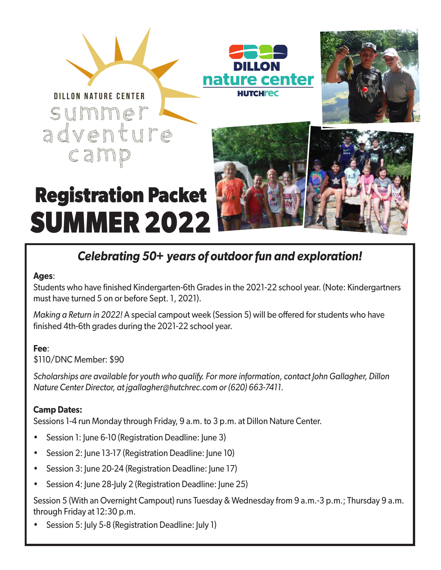





# **Registration Packet SUMMER 2022**



## *Celebrating 50+ years of outdoor fun and exploration!*

#### **Ages**:

Students who have finished Kindergarten-6th Grades in the 2021-22 school year. (Note: Kindergartners must have turned 5 on or before Sept. 1, 2021).

*Making a Return in 2022!* A special campout week (Session 5) will be offered for students who have finished 4th-6th grades during the 2021-22 school year.

#### **Fee**:

\$110/DNC Member: \$90

*Scholarships are available for youth who qualify. For more information, contact John Gallagher, Dillon Nature Center Director, at jgallagher@hutchrec.com or (620) 663-7411.* 

#### **Camp Dates:**

Sessions 1-4 run Monday through Friday, 9 a.m. to 3 p.m. at Dillon Nature Center.

- Session 1: June 6-10 (Registration Deadline: June 3)
- Session 2: June 13-17 (Registration Deadline: June 10)
- Session 3: June 20-24 (Registration Deadline: June 17)
- Session 4: June 28-July 2 (Registration Deadline: June 25)

Session 5 (With an Overnight Campout) runs Tuesday & Wednesday from 9 a.m.-3 p.m.; Thursday 9 a.m. through Friday at 12:30 p.m.

• Session 5: July 5-8 (Registration Deadline: July 1)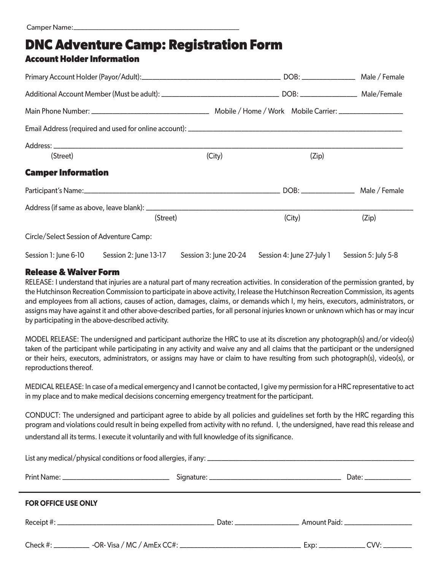### **DNC Adventure Camp: Registration Form**

#### **Account Holder Information**

| (Street)                                 |                                            | (City)                | (Zip)  |  |                                               |  |
|------------------------------------------|--------------------------------------------|-----------------------|--------|--|-----------------------------------------------|--|
| <b>Camper Information</b>                |                                            |                       |        |  |                                               |  |
|                                          |                                            |                       |        |  |                                               |  |
|                                          |                                            |                       |        |  |                                               |  |
|                                          | (Street)                                   |                       | (City) |  | (Zip)                                         |  |
| Circle/Select Session of Adventure Camp: |                                            |                       |        |  |                                               |  |
|                                          | Session 1: June 6-10 Session 2: June 13-17 | Session 3: June 20-24 |        |  | Session 4: June 27-July 1 Session 5: July 5-8 |  |

#### **Release & Waiver Form**

RELEASE: I understand that injuries are a natural part of many recreation activities. In consideration of the permission granted, by the Hutchinson Recreation Commission to participate in above activity, I release the Hutchinson Recreation Commission, its agents and employees from all actions, causes of action, damages, claims, or demands which I, my heirs, executors, administrators, or assigns may have against it and other above-described parties, for all personal injuries known or unknown which has or may incur by participating in the above-described activity.

MODEL RELEASE: The undersigned and participant authorize the HRC to use at its discretion any photograph(s) and/or video(s) taken of the participant while participating in any activity and waive any and all claims that the participant or the undersigned or their heirs, executors, administrators, or assigns may have or claim to have resulting from such photograph(s), video(s), or reproductions thereof.

MEDICAL RELEASE: In case of a medical emergency and I cannot be contacted, I give my permission for a HRC representative to act in my place and to make medical decisions concerning emergency treatment for the participant.

CONDUCT: The undersigned and participant agree to abide by all policies and guidelines set forth by the HRC regarding this program and violations could result in being expelled from activity with no refund. I, the undersigned, have read this release and understand all its terms. I execute it voluntarily and with full knowledge of its significance.

| <b>FOR OFFICE USE ONLY</b> |  |  |  |  |  |  |  |
|----------------------------|--|--|--|--|--|--|--|
|                            |  |  |  |  |  |  |  |
|                            |  |  |  |  |  |  |  |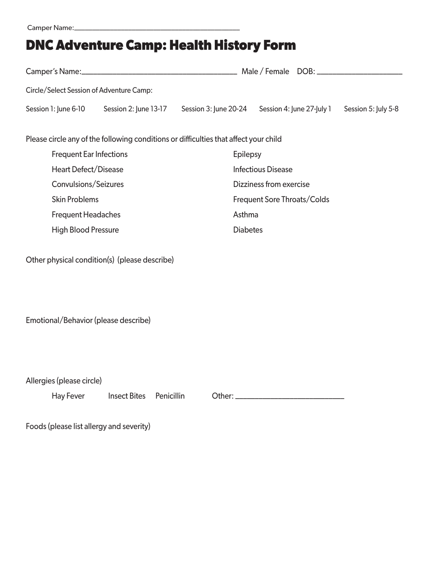# **DNC Adventure Camp: Health History Form**

| Circle/Select Session of Adventure Camp:                                              |                       |                       |                             |                     |  |  |  |  |
|---------------------------------------------------------------------------------------|-----------------------|-----------------------|-----------------------------|---------------------|--|--|--|--|
| Session 1: June 6-10                                                                  | Session 2: June 13-17 | Session 3: June 20-24 | Session 4: June 27-July 1   | Session 5: July 5-8 |  |  |  |  |
| Please circle any of the following conditions or difficulties that affect your child  |                       |                       |                             |                     |  |  |  |  |
| <b>Frequent Ear Infections</b>                                                        |                       |                       | <b>Epilepsy</b>             |                     |  |  |  |  |
| <b>Heart Defect/Disease</b>                                                           |                       |                       | <b>Infectious Disease</b>   |                     |  |  |  |  |
| Convulsions/Seizures                                                                  |                       |                       | Dizziness from exercise     |                     |  |  |  |  |
| <b>Skin Problems</b>                                                                  |                       |                       | Frequent Sore Throats/Colds |                     |  |  |  |  |
| <b>Frequent Headaches</b>                                                             |                       |                       | Asthma                      |                     |  |  |  |  |
| <b>High Blood Pressure</b>                                                            |                       |                       | <b>Diabetes</b>             |                     |  |  |  |  |
| Other physical condition(s) (please describe)<br>Emotional/Behavior (please describe) |                       |                       |                             |                     |  |  |  |  |
| Allergies (please circle)<br>Hay Fever                                                | <b>Insect Bites</b>   | Penicillin            |                             |                     |  |  |  |  |
| Foods (please list allergy and severity)                                              |                       |                       |                             |                     |  |  |  |  |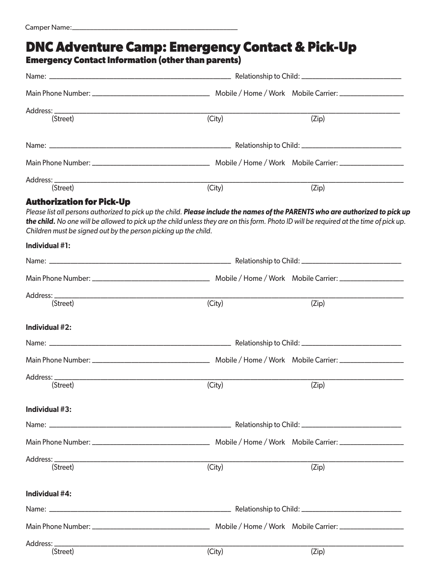### **Emergency Contact Information (other than parents)** Name: \_\_\_\_\_\_\_\_\_\_\_\_\_\_\_\_\_\_\_\_\_\_\_\_\_\_\_\_\_\_\_\_\_\_\_\_\_\_\_\_\_\_\_\_\_\_\_\_\_\_\_ Relationship to Child: \_\_\_\_\_\_\_\_\_\_\_\_\_\_\_\_\_\_\_\_\_\_\_\_\_\_\_\_ Main Phone Number: \_\_\_\_\_\_\_\_\_\_\_\_\_\_\_\_\_\_\_\_\_\_\_\_\_\_\_\_\_\_\_\_\_ Mobile / Home / Work Mobile Carrier: \_\_\_\_\_\_\_\_\_\_\_\_\_\_\_\_\_\_ Address: \_\_\_\_\_\_\_\_\_\_\_\_\_\_\_\_\_\_\_\_\_\_\_\_\_\_\_\_\_\_\_\_\_\_\_\_\_\_\_\_\_\_\_\_\_\_\_\_\_\_\_\_\_\_\_\_\_\_\_\_\_\_\_\_\_\_\_\_\_\_\_\_\_\_\_\_\_\_\_\_\_\_\_\_\_\_\_\_\_\_\_\_\_\_\_\_\_ (Street) (City) (Zip) Name: \_\_\_\_\_\_\_\_\_\_\_\_\_\_\_\_\_\_\_\_\_\_\_\_\_\_\_\_\_\_\_\_\_\_\_\_\_\_\_\_\_\_\_\_\_\_\_\_\_\_\_ Relationship to Child: \_\_\_\_\_\_\_\_\_\_\_\_\_\_\_\_\_\_\_\_\_\_\_\_\_\_\_\_ Main Phone Number: \_\_\_\_\_\_\_\_\_\_\_\_\_\_\_\_\_\_\_\_\_\_\_\_\_\_\_\_\_\_\_\_\_ Mobile / Home / Work Mobile Carrier: \_\_\_\_\_\_\_\_\_\_\_\_\_\_\_\_\_\_ Address: \_\_\_\_\_\_\_\_\_\_\_\_\_\_\_\_\_\_\_\_\_\_\_\_\_\_\_\_\_\_\_\_\_\_\_\_\_\_\_\_\_\_\_\_\_\_\_\_\_\_\_\_\_\_\_\_\_\_\_\_\_\_\_\_\_\_\_\_\_\_\_\_\_\_\_\_\_\_\_\_\_\_\_\_\_\_\_\_\_\_\_\_\_\_\_\_\_\_ (Street) (City) (Zip) **DNC Adventure Camp: Emergency Contact & Pick-Up Authorization for Pick-Up**  *Please list all persons authorized to pick up the child. Please include the names of the PARENTS who are authorized to pick up the child. No one will be allowed to pick up the child unless they are on this form. Photo ID will be required at the time of pick up. Children must be signed out by the person picking up the child.* **Individual #1:** Name: \_\_\_\_\_\_\_\_\_\_\_\_\_\_\_\_\_\_\_\_\_\_\_\_\_\_\_\_\_\_\_\_\_\_\_\_\_\_\_\_\_\_\_\_\_\_\_\_\_\_\_ Relationship to Child: \_\_\_\_\_\_\_\_\_\_\_\_\_\_\_\_\_\_\_\_\_\_\_\_\_\_\_\_ Main Phone Number: \_\_\_\_\_\_\_\_\_\_\_\_\_\_\_\_\_\_\_\_\_\_\_\_\_\_\_\_\_\_\_\_\_ Mobile / Home / Work Mobile Carrier: \_\_\_\_\_\_\_\_\_\_\_\_\_\_\_\_\_\_ Address: \_\_\_\_\_\_\_\_\_\_\_\_\_\_\_\_\_\_\_\_\_\_\_\_\_\_\_\_\_\_\_\_\_\_\_\_\_\_\_\_\_\_\_\_\_\_\_\_\_\_\_\_\_\_\_\_\_\_\_\_\_\_\_\_\_\_\_\_\_\_\_\_\_\_\_\_\_\_\_\_\_\_\_\_\_\_\_\_\_\_\_\_\_\_\_\_\_\_ (Street) (City) (Zip) **Individual #2:** Name: \_\_\_\_\_\_\_\_\_\_\_\_\_\_\_\_\_\_\_\_\_\_\_\_\_\_\_\_\_\_\_\_\_\_\_\_\_\_\_\_\_\_\_\_\_\_\_\_\_\_\_ Relationship to Child: \_\_\_\_\_\_\_\_\_\_\_\_\_\_\_\_\_\_\_\_\_\_\_\_\_\_\_\_ Main Phone Number: \_\_\_\_\_\_\_\_\_\_\_\_\_\_\_\_\_\_\_\_\_\_\_\_\_\_\_\_\_\_\_\_\_ Mobile / Home / Work Mobile Carrier: \_\_\_\_\_\_\_\_\_\_\_\_\_\_\_\_\_\_ Address: \_\_\_\_\_\_\_\_\_\_\_\_\_\_\_\_\_\_\_\_\_\_\_\_\_\_\_\_\_\_\_\_\_\_\_\_\_\_\_\_\_\_\_\_\_\_\_\_\_\_\_\_\_\_\_\_\_\_\_\_\_\_\_\_\_\_\_\_\_\_\_\_\_\_\_\_\_\_\_\_\_\_\_\_\_\_\_\_\_\_\_\_\_\_\_\_\_\_ (Street) (City) (Zip) **Individual #3:** Name: \_\_\_\_\_\_\_\_\_\_\_\_\_\_\_\_\_\_\_\_\_\_\_\_\_\_\_\_\_\_\_\_\_\_\_\_\_\_\_\_\_\_\_\_\_\_\_\_\_\_\_ Relationship to Child: \_\_\_\_\_\_\_\_\_\_\_\_\_\_\_\_\_\_\_\_\_\_\_\_\_\_\_\_ Main Phone Number: \_\_\_\_\_\_\_\_\_\_\_\_\_\_\_\_\_\_\_\_\_\_\_\_\_\_\_\_\_\_\_\_\_ Mobile / Home / Work Mobile Carrier: \_\_\_\_\_\_\_\_\_\_\_\_\_\_\_\_\_\_ Address: \_\_\_\_\_\_\_\_\_\_\_\_\_\_\_\_\_\_\_\_\_\_\_\_\_\_\_\_\_\_\_\_\_\_\_\_\_\_\_\_\_\_\_\_\_\_\_\_\_\_\_\_\_\_\_\_\_\_\_\_\_\_\_\_\_\_\_\_\_\_\_\_\_\_\_\_\_\_\_\_\_\_\_\_\_\_\_\_\_\_\_\_\_\_\_\_\_\_ (Street) (City) (Zip) **Individual #4:** Name: \_\_\_\_\_\_\_\_\_\_\_\_\_\_\_\_\_\_\_\_\_\_\_\_\_\_\_\_\_\_\_\_\_\_\_\_\_\_\_\_\_\_\_\_\_\_\_\_\_\_\_ Relationship to Child: \_\_\_\_\_\_\_\_\_\_\_\_\_\_\_\_\_\_\_\_\_\_\_\_\_\_\_\_ Main Phone Number: \_\_\_\_\_\_\_\_\_\_\_\_\_\_\_\_\_\_\_\_\_\_\_\_\_\_\_\_\_\_\_\_\_ Mobile / Home / Work Mobile Carrier: \_\_\_\_\_\_\_\_\_\_\_\_\_\_\_\_\_\_ Address: \_\_\_\_\_\_\_\_\_\_\_\_\_\_\_\_\_\_\_\_\_\_\_\_\_\_\_\_\_\_\_\_\_\_\_\_\_\_\_\_\_\_\_\_\_\_\_\_\_\_\_\_\_\_\_\_\_\_\_\_\_\_\_\_\_\_\_\_\_\_\_\_\_\_\_\_\_\_\_\_\_\_\_\_\_\_\_\_\_\_\_\_\_\_\_\_\_\_ (Street) (City) (Zip)